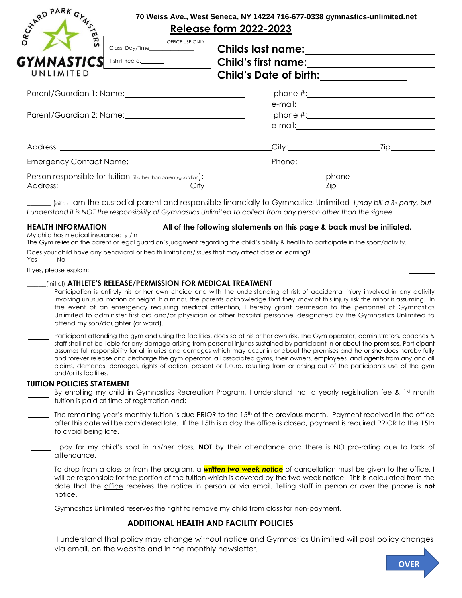| CYARD PARK GYMS                            | 70 Weiss Ave., West Seneca, NY 14224 716-677-0338 gymnastics-unlimited.net<br><b>Release form 2022-2023</b>    |
|--------------------------------------------|----------------------------------------------------------------------------------------------------------------|
| OFFICE USE ONLY<br>GYMNASTICS<br>UNLIMITED | Child's Date of birth:_____________                                                                            |
|                                            | phone $\#$ : $\qquad \qquad$                                                                                   |
|                                            |                                                                                                                |
|                                            | Emergency Contact Name: Camera Contact Name: Contact Name: Contact Name: Contact Name: Contact Name: Contact N |
|                                            | <u>Zip _____________________</u>                                                                               |

 $\int$  (initial) I am the custodial parent and responsible financially to Gymnastics Unlimited *I* may bill a 3<sup>*d*</sup> party, but *I understand it is NOT the responsibility of Gymnastics Unlimited to collect from any person other than the signee.*

#### **HEALTH INFORMATION All of the following statements on this page & back must be initialed.**

My child has medical insurance: y / n

The Gym relies on the parent or legal guardian's judgment regarding the child's ability & health to participate in the sport/activity. Does your child have any behavioral or health limitations/issues that may affect class or learning?

Yes \_\_\_\_\_\_No\_\_\_\_\_\_

If yes, please explain:

## \_\_\_\_\_(initial) **ATHLETE'S RELEASE/PERMISSION FOR MEDICAL TREATMENT**

Participation is entirely his or her own choice and with the understanding of risk of accidental injury involved in any activity involving unusual motion or height. If a minor, the parents acknowledge that they know of this injury risk the minor is assuming. In the event of an emergency requiring medical attention, I hereby grant permission to the personnel at Gymnastics Unlimited to administer first aid and/or physician or other hospital personnel designated by the Gymnastics Unlimited to attend my son/daughter (or ward).

Participant attending the gym and using the facilities, does so at his or her own risk, The Gym operator, administrators, coaches & staff shall not be liable for any damage arising from personal injuries sustained by participant in or about the premises. Participant assumes full responsibility for all injuries and damages which may occur in or about the premises and he or she does hereby fully and forever release and discharge the gym operator, all associated gyms, their owners, employees, and agents from any and all claims, demands, damages, rights of action, present or future, resulting from or arising out of the participants use of the gym and/or its facilities.

## **TUITION POLICIES STATEMENT**

- By enrolling my child in Gymnastics Recreation Program, I understand that a yearly registration fee & 1st month tuition is paid at time of registration and;
- The remaining year's monthly tuition is due PRIOR to the  $15<sup>th</sup>$  of the previous month. Payment received in the office after this date will be considered late. If the 15th is a day the office is closed, payment is required PRIOR to the 15th to avoid being late.
- I pay for my child's spot in his/her class, **NOT** by their attendance and there is NO pro-rating due to lack of attendance.
- To drop from a class or from the program, a *written two week notice* of cancellation must be given to the office. I will be responsible for the portion of the tuition which is covered by the two-week notice. This is calculated from the date that the office receives the notice in person or via email. Telling staff in person or over the phone is **not** notice.
- Gymnastics Unlimited reserves the right to remove my child from class for non-payment.

# **ADDITIONAL HEALTH AND FACILITY POLICIES**

I understand that policy may change without notice and Gymnastics Unlimited will post policy changes via email, on the website and in the monthly newsletter.

**OVER**